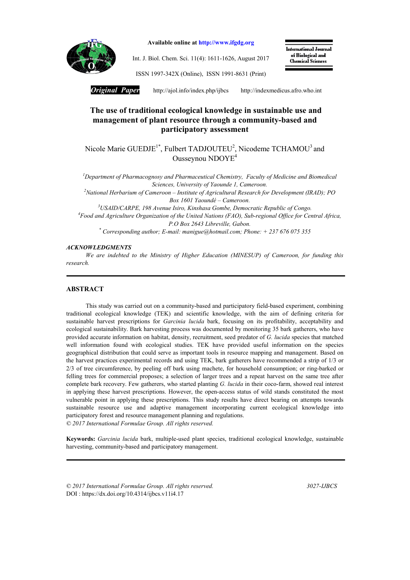

Available online at http://www.ifgdg.org

Int. J. Biol. Chem. Sci. 11(4): 1611-1626, August 2017

International Journal of Biological and Chemical Sciences

ISSN 1997-342X (Online), ISSN 1991-8631 (Print)

*Original Paper* http://ajol.info/index.php/ijbcshttp://indexmedicus.afro.who.int

# The use of traditional ecological knowledge in sustainable use and management of plant resource through a community-based and participatory assessment

Nicole Marie GUEDJE<sup>1\*</sup>, Fulbert TADJOUTEU<sup>2</sup>, Nicodeme TCHAMOU<sup>3</sup> and Ousseynou NDOYE4

*1 Department of Pharmacognosy and Pharmaceutical Chemistry, Faculty of Medicine and Biomedical Sciences, University of Yaounde 1, Cameroon.*

*2 National Herbarium of Cameroon – Institute of Agricultural Research for Development (IRAD); PO Box 1601 Yaoundé – Cameroon.*

*3 USAID/CARPE, 198 Avenue Isiro, Kinshasa Gombe, Democratic Republic of Congo. 4 Food and Agriculture Organization of the United Nations (FAO), Sub-regional Office for Central Africa, P.O Box 2643 Libreville, Gabon.*

*\* Corresponding author; E-mail: manigue@hotmail.com; Phone: + 237 676 075 355*

#### *ACKNOWLEDGMENTS*

*We are indebted to the Ministry of Higher Education (MINESUP) of Cameroon, for funding this research.*

#### ABSTRACT

This study was carried out on a community-based and participatory field-based experiment, combining traditional ecological knowledge (TEK) and scientific knowledge, with the aim of defining criteria for sustainable harvest prescriptions for *Garcinia lucida* bark, focusing on its profitability, acceptability and ecological sustainability. Bark harvesting process was documented by monitoring 35 bark gatherers, who have provided accurate information on habitat, density, recruitment, seed predator of *G. lucida* species that matched well information found with ecological studies. TEK have provided useful information on the species geographical distribution that could serve as important tools in resource mapping and management. Based on the harvest practices experimental records and using TEK, bark gatherers have recommended a strip of 1/3 or 2/3 of tree circumference, by peeling off bark using machete, for household consumption; or ring-barked or felling trees for commercial proposes; a selection of larger trees and a repeat harvest on the same tree after complete bark recovery. Few gatherers, who started planting *G. lucida* in their coco-farm, showed real interest in applying these harvest prescriptions. However, the open-access status of wild stands constituted the most vulnerable point in applying these prescriptions. This study results have direct bearing on attempts towards sustainable resource use and adaptive management incorporating current ecological knowledge into participatory forest and resource management planning and regulations. *© 2017 International Formulae Group. All rights reserved.*

Keywords: *Garcinia lucida* bark, multiple-used plant species, traditional ecological knowledge, sustainable harvesting, community-based and participatory management.

*© 2017 International Formulae Group. All rights reserved. 3027-IJBCS* DOI : https://dx.doi.org/10.4314/ijbcs.v11i4.17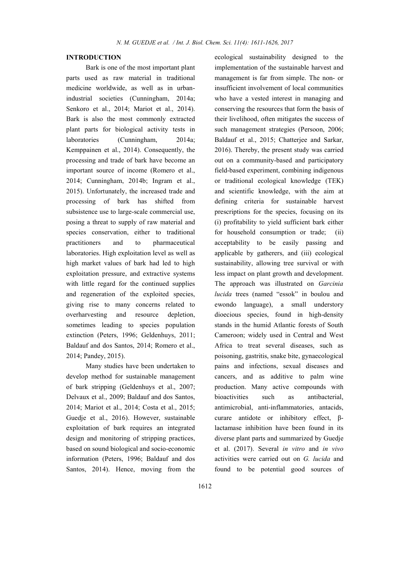### INTRODUCTION

Bark is one of the most important plant parts used as raw material in traditional medicine worldwide, as well as in urbanindustrial societies (Cunningham, 2014a; Senkoro et al., 2014; Mariot et al., 2014). Bark is also the most commonly extracted plant parts for biological activity tests in laboratories (Cunningham, 2014a; Kemppainen et al., 2014). Consequently, the processing and trade of bark have become an important source of income (Romero et al., 2014; Cunningham, 2014b; Ingram et al., 2015). Unfortunately, the increased trade and processing of bark has shifted from subsistence use to large-scale commercial use, posing a threat to supply of raw material and species conservation, either to traditional practitioners and to pharmaceutical laboratories. High exploitation level as well as high market values of bark had led to high exploitation pressure, and extractive systems with little regard for the continued supplies and regeneration of the exploited species, giving rise to many concerns related to overharvesting and resource depletion, sometimes leading to species population extinction (Peters, 1996; Geldenhuys, 2011; Baldauf and dos Santos, 2014; Romero et al., 2014; Pandey, 2015).

Many studies have been undertaken to develop method for sustainable management of bark stripping (Geldenhuys et al., 2007; Delvaux et al., 2009; Baldauf and dos Santos, 2014; Mariot et al., 2014; Costa et al., 2015; Guedje et al., 2016). However, sustainable exploitation of bark requires an integrated design and monitoring of stripping practices, based on sound biological and socio-economic information (Peters, 1996; Baldauf and dos Santos, 2014). Hence, moving from the ecological sustainability designed to the implementation of the sustainable harvest and management is far from simple. The non- or insufficient involvement of local communities who have a vested interest in managing and conserving the resources that form the basis of their livelihood, often mitigates the success of such management strategies (Persoon, 2006; Baldauf et al., 2015; Chatterjee and Sarkar, 2016). Thereby, the present study was carried out on a community-based and participatory field-based experiment, combining indigenous or traditional ecological knowledge (TEK) and scientific knowledge, with the aim at defining criteria for sustainable harvest prescriptions for the species, focusing on its (i) profitability to yield sufficient bark either for household consumption or trade; (ii) acceptability to be easily passing and applicable by gatherers, and (iii) ecological sustainability, allowing tree survival or with less impact on plant growth and development. The approach was illustrated on *Garcinia lucida* trees (named "essok" in boulou and ewondo language), a small understory dioecious species, found in high-density stands in the humid Atlantic forests of South Cameroon; widely used in Central and West Africa to treat several diseases, such as poisoning, gastritis, snake bite, gynaecological pains and infections, sexual diseases and cancers, and as additive to palm wine production. Many active compounds with bioactivities such as antibacterial, antimicrobial, anti-inflammatories, antacids, curare antidote or inhibitory effect, βlactamase inhibition have been found in its diverse plant parts and summarized by Guedje et al. (2017). Several *in vitro* and *in vivo* activities were carried out on *G. lucida* and found to be potential good sources of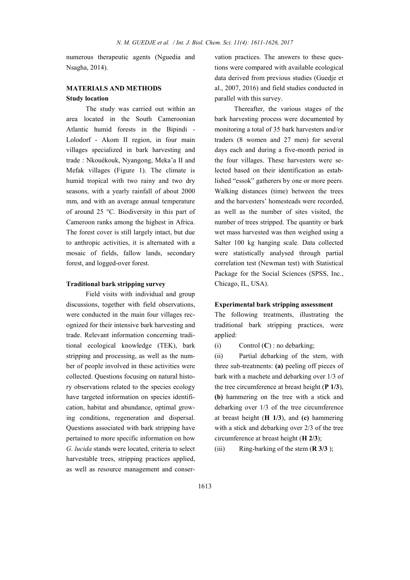numerous therapeutic agents (Nguedia and Nsagha, 2014).

## MATERIALS AND METHODS Study location

The study was carried out within an area located in the South Cameroonian Atlantic humid forests in the Bipindi - Lolodorf - Akom II region, in four main villages specialized in bark harvesting and trade : Nkouékouk, Nyangong, Meka'a II and Mefak villages (Figure 1). The climate is humid tropical with two rainy and two dry seasons, with a yearly rainfall of about 2000 mm, and with an average annual temperature of around 25 °C. Biodiversity in this part of Cameroon ranks among the highest in Africa. The forest cover is still largely intact, but due to anthropic activities, it is alternated with a mosaic of fields, fallow lands, secondary forest, and logged-over forest.

#### Traditional bark stripping survey

Field visits with individual and group discussions, together with field observations, were conducted in the main four villages recognized for their intensive bark harvesting and trade. Relevant information concerning traditional ecological knowledge (TEK), bark stripping and processing, as well as the number of people involved in these activities were collected. Questions focusing on natural history observations related to the species ecology have targeted information on species identification, habitat and abundance, optimal growing conditions, regeneration and dispersal. Questions associated with bark stripping have pertained to more specific information on how *G. lucida* stands were located, criteria to select harvestable trees, stripping practices applied, as well as resource management and conservation practices. The answers to these questions were compared with available ecological data derived from previous studies (Guedje et al., 2007, 2016) and field studies conducted in parallel with this survey.

Thereafter, the various stages of the bark harvesting process were documented by monitoring a total of 35 bark harvesters and/or traders (8 women and 27 men) for several days each and during a five-month period in the four villages. These harvesters were selected based on their identification as established "essok" gatherers by one or more peers. Walking distances (time) between the trees and the harvesters' homesteads were recorded, as well as the number of sites visited, the number of trees stripped. The quantity or bark wet mass harvested was then weighed using a Salter 100 kg hanging scale. Data collected were statistically analysed through partial correlation test (Newman test) with Statistical Package for the Social Sciences (SPSS, Inc., Chicago, IL, USA).

#### Experimental bark stripping assessment

The following treatments, illustrating the traditional bark stripping practices, were applied:

(i) Control  $(C)$  : no debarking;

(ii) Partial debarking of the stem, with three sub-treatments: (a) peeling off pieces of bark with a machete and debarking over 1/3 of the tree circumference at breast height  $(P_1/3)$ , (b) hammering on the tree with a stick and debarking over 1/3 of the tree circumference at breast height  $(H_1/3)$ , and  $(c)$  hammering with a stick and debarking over 2/3 of the tree circumference at breast height (H 2/3);

(iii) Ring-barking of the stem  $(R 3/3)$ ;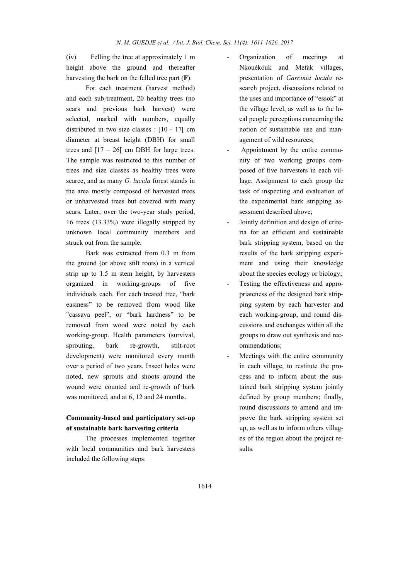(iv) Felling the tree at approximately 1 m height above the ground and thereafter harvesting the bark on the felled tree part (F).

For each treatment (harvest method) and each sub-treatment, 20 healthy trees (no scars and previous bark harvest) were selected, marked with numbers, equally distributed in two size classes : [10 - 17[ cm diameter at breast height (DBH) for small trees and  $[17 - 26]$  cm DBH for large trees. The sample was restricted to this number of trees and size classes as healthy trees were scarce, and as many *G. lucida* forest stands in the area mostly composed of harvested trees or unharvested trees but covered with many scars. Later, over the two-year study period, 16 trees (13.33%) were illegally stripped by unknown local community members and struck out from the sample.

Bark was extracted from 0.3 m from the ground (or above stilt roots) in a vertical strip up to 1.5 m stem height, by harvesters organized in working-groups of five individuals each. For each treated tree, "bark easiness" to be removed from wood like "cassava peel", or "bark hardness" to be removed from wood were noted by each working-group. Health parameters (survival, sprouting, bark re-growth, stilt-root development) were monitored every month over a period of two years. Insect holes were noted, new sprouts and shoots around the wound were counted and re-growth of bark was monitored, and at 6, 12 and 24 months.

# Community-based and participatory set-up of sustainable bark harvesting criteria

The processes implemented together with local communities and bark harvesters included the following steps:

- Organization of meetings at Nkouékouk and Mefak villages, presentation of *Garcinia lucida* research project, discussions related to the uses and importance of "essok" at the village level, as well as to the local people perceptions concerning the notion of sustainable use and management of wild resources;
- Appointment by the entire community of two working groups composed of five harvesters in each village. Assignment to each group the task of inspecting and evaluation of the experimental bark stripping assessment described above;
- Jointly definition and design of criteria for an efficient and sustainable bark stripping system, based on the results of the bark stripping experiment and using their knowledge about the species ecology or biology;
- Testing the effectiveness and appropriateness of the designed bark stripping system by each harvester and each working-group, and round discussions and exchanges within all the groups to draw out synthesis and recommendations;
- Meetings with the entire community in each village, to restitute the process and to inform about the sustained bark stripping system jointly defined by group members; finally, round discussions to amend and improve the bark stripping system set up, as well as to inform others villages of the region about the project results.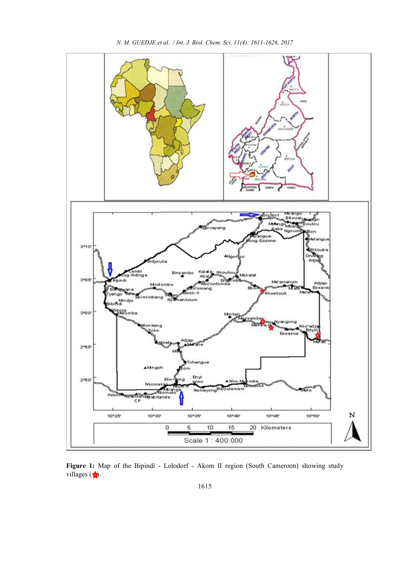

*N. M. GUEDJE et al. / Int. J. Biol. Chem. Sci. 11(4): 1611-1626, 2017*

Figure 1: Map of the Bipindi - Lolodorf - Akom II region (South Cameroon) showing study villages  $\left( \frac{1}{\sqrt{2}} \right)$ .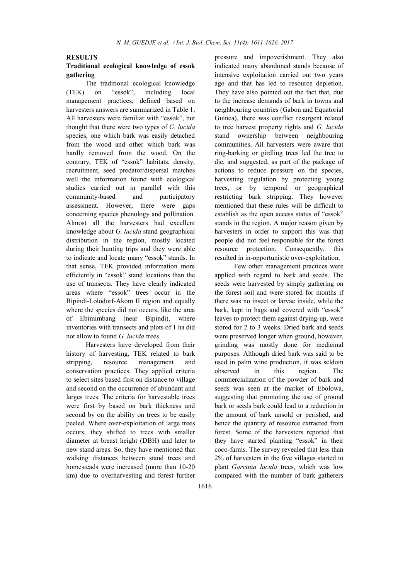#### RESULTS

## Traditional ecological knowledge of essok gathering

The traditional ecological knowledge (TEK) on "essok", including local management practices, defined based on harvesters answers are summarized in Table 1. All harvesters were familiar with "essok", but thought that there were two types of *G. lucida* species, one which bark was easily detached from the wood and other which bark was hardly removed from the wood. On the contrary, TEK of "essok" habitats, density, recruitment, seed predator/dispersal matches well the information found with ecological studies carried out in parallel with this community-based and participatory assessment. However, there were gaps concerning species phenology and pollination. Almost all the harvesters had excellent knowledge about *G. lucida* stand geographical distribution in the region, mostly located during their hunting trips and they were able to indicate and locate many "essok" stands. In that sense, TEK provided information more efficiently in "essok" stand locations than the use of transects. They have clearly indicated areas where "essok" trees occur in the Bipindi-Lolodorf-Akom II region and equally where the species did not occurs, like the area of Ebimimbang (near Bipindi), where inventories with transects and plots of 1 ha did not allow to found *G. lucida* trees.

Harvesters have developed from their history of harvesting, TEK related to bark stripping, resource management and conservation practices. They applied criteria to select sites based first on distance to village and second on the occurrence of abundant and larges trees. The criteria for harvestable trees were first by based on bark thickness and second by on the ability on trees to be easily peeled. Where over-exploitation of large trees occurs, they shifted to trees with smaller diameter at breast height (DBH) and later to new stand areas. So, they have mentioned that walking distances between stand trees and homesteads were increased (more than 10-20 km) due to overharvesting and forest further pressure and impoverishment. They also indicated many abandoned stands because of intensive exploitation carried out two years ago and that has led to resource depletion. They have also pointed out the fact that, due to the increase demands of bark in towns and neighbouring countries (Gabon and Equatorial Guinea), there was conflict resurgent related to tree harvest property rights and *G. lucida* stand ownership between neighbouring communities. All harvesters were aware that ring-barking or girdling trees led the tree to die, and suggested, as part of the package of actions to reduce pressure on the species, harvesting regulation by protecting young trees, or by temporal or geographical restricting bark stripping. They however mentioned that these rules will be difficult to establish as the open access status of "essok" stands in the region. A major reason given by harvesters in order to support this was that people did not feel responsible for the forest resource protection. Consequently, this resulted in in-opportunistic over-exploitation.

Few other management practices were applied with regard to bark and seeds. The seeds were harvested by simply gathering on the forest soil and were stored for months if there was no insect or larvae inside, while the bark, kept in bags and covered with "essok" leaves to protect them against drying-up, were stored for 2 to 3 weeks. Dried bark and seeds were preserved longer when ground, however, grinding was mostly done for medicinal purposes. Although dried bark was said to be used in palm wine production, it was seldom observed in this region. The commercialization of the powder of bark and seeds was seen at the market of Ebolowa, suggesting that promoting the use of ground bark or seeds bark could lead to a reduction in the amount of bark unsold or perished, and hence the quantity of resource extracted from forest. Some of the harvesters reported that they have started planting "essok" in their coco-farms. The survey revealed that less than 2% of harvesters in the five villages started to plant *Garcinia lucida* trees, which was low compared with the number of bark gatherers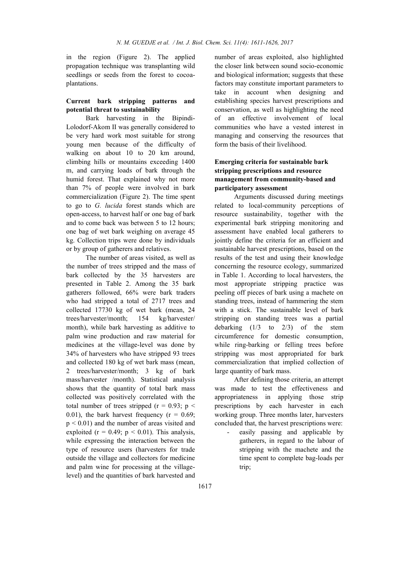in the region (Figure 2). The applied propagation technique was transplanting wild seedlings or seeds from the forest to cocoaplantations.

## Current bark stripping patterns and potential threat to sustainability

Bark harvesting in the Bipindi-Lolodorf-Akom II was generally considered to be very hard work most suitable for strong young men because of the difficulty of walking on about 10 to 20 km around, climbing hills or mountains exceeding 1400 m, and carrying loads of bark through the humid forest. That explained why not more than 7% of people were involved in bark commercialization (Figure 2). The time spent to go to *G. lucida* forest stands which are open-access, to harvest half or one bag of bark and to come back was between 5 to 12 hours; one bag of wet bark weighing on average 45 kg. Collection trips were done by individuals or by group of gatherers and relatives.

The number of areas visited, as well as the number of trees stripped and the mass of bark collected by the 35 harvesters are presented in Table 2. Among the 35 bark gatherers followed, 66% were bark traders who had stripped a total of 2717 trees and collected 17730 kg of wet bark (mean, 24 trees/harvester/month; 154 kg/harvester/ month), while bark harvesting as additive to palm wine production and raw material for medicines at the village-level was done by 34% of harvesters who have stripped 93 trees and collected 180 kg of wet bark mass (mean, 2 trees/harvester/month; 3 kg of bark mass/harvester /month). Statistical analysis shows that the quantity of total bark mass collected was positively correlated with the total number of trees stripped ( $r = 0.93$ ;  $p \le$ 0.01), the bark harvest frequency ( $r = 0.69$ ;  $p \leq 0.01$ ) and the number of areas visited and exploited ( $r = 0.49$ ;  $p < 0.01$ ). This analysis, while expressing the interaction between the type of resource users (harvesters for trade outside the village and collectors for medicine and palm wine for processing at the villagelevel) and the quantities of bark harvested and

number of areas exploited, also highlighted the closer link between sound socio-economic and biological information; suggests that these factors may constitute important parameters to take in account when designing and establishing species harvest prescriptions and conservation, as well as highlighting the need of an effective involvement of local communities who have a vested interest in managing and conserving the resources that form the basis of their livelihood.

## Emerging criteria for sustainable bark stripping prescriptions and resource management from community-based and participatory assessment

Arguments discussed during meetings related to local-community perceptions of resource sustainability, together with the experimental bark stripping monitoring and assessment have enabled local gatherers to jointly define the criteria for an efficient and sustainable harvest prescriptions, based on the results of the test and using their knowledge concerning the resource ecology, summarized in Table 1. According to local harvesters, the most appropriate stripping practice was peeling off pieces of bark using a machete on standing trees, instead of hammering the stem with a stick. The sustainable level of bark stripping on standing trees was a partial debarking (1/3 to 2/3) of the stem circumference for domestic consumption, while ring-barking or felling trees before stripping was most appropriated for bark commercialization that implied collection of large quantity of bark mass.

After defining those criteria, an attempt was made to test the effectiveness and appropriateness in applying those strip prescriptions by each harvester in each working group. Three months later, harvesters concluded that, the harvest prescriptions were:

easily passing and applicable by gatherers, in regard to the labour of stripping with the machete and the time spent to complete bag-loads per trip;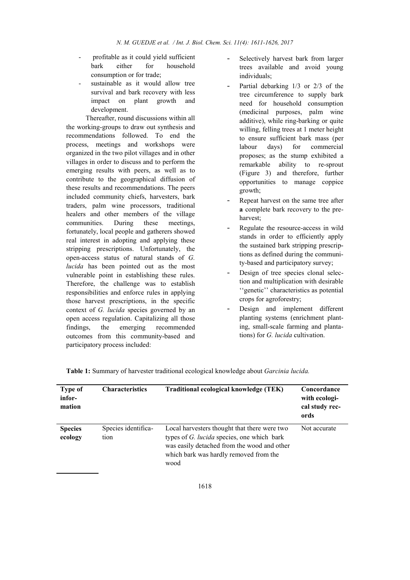- profitable as it could yield sufficient bark either for household consumption or for trade;
- sustainable as it would allow tree survival and bark recovery with less impact on plant growth and development.

Thereafter, round discussions within all the working-groups to draw out synthesis and recommendations followed. To end the process, meetings and workshops were organized in the two pilot villages and in other villages in order to discuss and to perform the emerging results with peers, as well as to contribute to the geographical diffusion of these results and recommendations. The peers included community chiefs, harvesters, bark traders, palm wine processors, traditional healers and other members of the village communities. During these meetings, fortunately, local people and gatherers showed real interest in adopting and applying these stripping prescriptions. Unfortunately, the open-access status of natural stands of *G. lucida* has been pointed out as the most vulnerable point in establishing these rules. Therefore, the challenge was to establish responsibilities and enforce rules in applying those harvest prescriptions, in the specific context of *G. lucida* species governed by an open access regulation. Capitalizing all those findings, the emerging recommended outcomes from this community-based and participatory process included:

- Selectively harvest bark from larger trees available and avoid young individuals;
- Partial debarking  $1/3$  or  $2/3$  of the tree circumference to supply bark need for household consumption (medicinal purposes, palm wine additive), while ring-barking or quite willing, felling trees at 1 meter height to ensure sufficient bark mass (per labour days) for commercial proposes; as the stump exhibited a remarkable ability to re-sprout (Figure 3) and therefore, further opportunities to manage coppice growth;
- Repeat harvest on the same tree after a complete bark recovery to the preharvest;
- Regulate the resource-access in wild stands in order to efficiently apply the sustained bark stripping prescriptions as defined during the community-based and participatory survey;
- Design of tree species clonal selection and multiplication with desirable ''genetic'' characteristics as potential crops for agroforestry;
- Design and implement different planting systems (enrichment planting, small-scale farming and plantations) for *G. lucida* cultivation.

| Type of<br>infor-<br>mation | <b>Characteristics</b>      | Traditional ecological knowledge (TEK)                                                                                                                                                      | Concordance<br>with ecologi-<br>cal study rec-<br>ords |
|-----------------------------|-----------------------------|---------------------------------------------------------------------------------------------------------------------------------------------------------------------------------------------|--------------------------------------------------------|
| <b>Species</b><br>ecology   | Species identifica-<br>tion | Local harvesters thought that there were two<br>types of G. lucida species, one which bark<br>was easily detached from the wood and other<br>which bark was hardly removed from the<br>wood | Not accurate                                           |

Table 1: Summary of harvester traditional ecological knowledge about *Garcinia lucida.*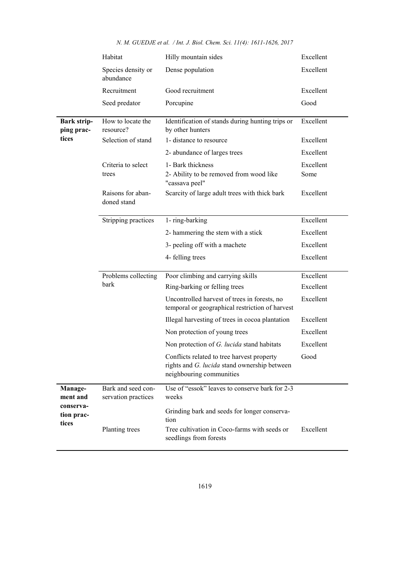|                                                         | Habitat                                   | Hilly mountain sides                                                                                                   | Excellent |  |  |
|---------------------------------------------------------|-------------------------------------------|------------------------------------------------------------------------------------------------------------------------|-----------|--|--|
|                                                         | Species density or<br>abundance           | Dense population                                                                                                       | Excellent |  |  |
|                                                         | Recruitment                               | Good recruitment                                                                                                       | Excellent |  |  |
|                                                         | Seed predator                             | Porcupine                                                                                                              | Good      |  |  |
| <b>Bark strip-</b><br>ping prac-                        | How to locate the<br>resource?            | Identification of stands during hunting trips or<br>by other hunters                                                   | Excellent |  |  |
| tices                                                   | Selection of stand                        | 1- distance to resource                                                                                                |           |  |  |
|                                                         |                                           | 2- abundance of larges trees                                                                                           | Excellent |  |  |
|                                                         | Criteria to select                        | 1- Bark thickness                                                                                                      | Excellent |  |  |
|                                                         | trees                                     | 2- Ability to be removed from wood like<br>"cassava peel"                                                              | Some      |  |  |
|                                                         | Raisons for aban-<br>doned stand          | Scarcity of large adult trees with thick bark                                                                          | Excellent |  |  |
|                                                         | Stripping practices                       | 1- ring-barking                                                                                                        | Excellent |  |  |
|                                                         |                                           | 2- hammering the stem with a stick                                                                                     | Excellent |  |  |
|                                                         |                                           | 3- peeling off with a machete                                                                                          | Excellent |  |  |
|                                                         |                                           | 4- felling trees                                                                                                       | Excellent |  |  |
|                                                         | Problems collecting<br>bark               | Poor climbing and carrying skills                                                                                      | Excellent |  |  |
|                                                         |                                           | Ring-barking or felling trees                                                                                          | Excellent |  |  |
|                                                         |                                           | Uncontrolled harvest of trees in forests, no<br>temporal or geographical restriction of harvest                        | Excellent |  |  |
|                                                         |                                           | Illegal harvesting of trees in cocoa plantation                                                                        | Excellent |  |  |
|                                                         |                                           | Non protection of young trees                                                                                          | Excellent |  |  |
|                                                         |                                           | Non protection of G. lucida stand habitats                                                                             | Excellent |  |  |
|                                                         |                                           | Conflicts related to tree harvest property<br>rights and G. lucida stand ownership between<br>neighbouring communities | Good      |  |  |
| Manage-<br>ment and<br>conserva-<br>tion prac-<br>tices | Bark and seed con-<br>servation practices | Use of "essok" leaves to conserve bark for 2-3<br>weeks                                                                |           |  |  |
|                                                         |                                           | Grinding bark and seeds for longer conserva-<br>tion                                                                   |           |  |  |
|                                                         | Planting trees                            | Tree cultivation in Coco-farms with seeds or<br>seedlings from forests                                                 | Excellent |  |  |

*N. M. GUEDJE et al. / Int. J. Biol. Chem. Sci. 11(4): 1611-1626, 2017*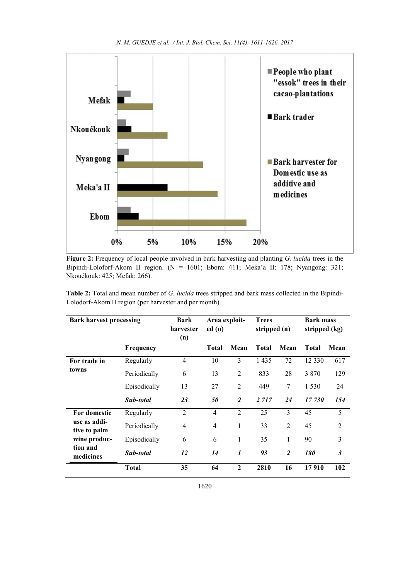

Figure 2: Frequency of local people involved in bark harvesting and planting *G. lucida* trees in the Bipindi-Loloforf-Akom II region. (N = 1601; Ebom: 411; Meka'a II: 178; Nyangong: 321; Nkouékouk: 425; Mefak: 266).

Table 2: Total and mean number of *G. lucida* trees stripped and bark mass collected in the Bipindi-Lolodorf-Akom II region (per harvester and per month).

| <b>Bark harvest processing</b> |              | Bark<br>harvester<br>(n) | Area exploit-<br>ed(n) |                  | <b>Trees</b><br>stripped (n) |                | <b>Bark mass</b><br>stripped (kg) |                |
|--------------------------------|--------------|--------------------------|------------------------|------------------|------------------------------|----------------|-----------------------------------|----------------|
|                                | Frequency    |                          | <b>Total</b>           | Mean             | <b>Total</b>                 | Mean           | <b>Total</b>                      | Mean           |
| For trade in                   | Regularly    | 4                        | 10                     | 3                | 1435                         | 72             | 12 3 3 0                          | 617            |
| towns                          | Periodically | 6                        | 13                     | $\overline{2}$   | 833                          | 28             | 3 8 7 0                           | 129            |
|                                | Episodically | 13                       | 27                     | $\overline{2}$   | 449                          | 7              | 1 5 3 0                           | 24             |
|                                | Sub-total    | 23                       | 50                     | $\overline{2}$   | 2 7 1 7                      | 24             | 17 730                            | 154            |
| For domestic                   | Regularly    | $\overline{2}$           | $\overline{4}$         | $\overline{2}$   | 25                           | 3              | 45                                | 5              |
| use as addi-<br>tive to palm   | Periodically | 4                        | $\overline{4}$         | 1                | 33                           | $\overline{2}$ | 45                                | $\overline{2}$ |
| wine produc-                   | Episodically | 6                        | 6                      | $\mathbf{1}$     | 35                           | 1              | 90                                | 3              |
| tion and<br>medicines          | Sub-total    | 12                       | 14                     | $\boldsymbol{l}$ | 93                           | $\overline{2}$ | 180                               | 3              |
|                                | <b>Total</b> | 35                       | 64                     | $\mathbf{2}$     | 2810                         | 16             | 17910                             | 102            |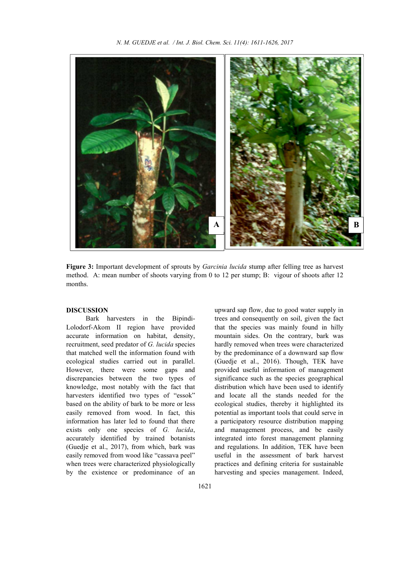

Figure 3: Important development of sprouts by *Garcinia lucida* stump after felling tree as harvest method. A: mean number of shoots varying from 0 to 12 per stump; B: vigour of shoots after 12 months.

#### DISCUSSION

Bark harvesters in the Bipindi-Lolodorf-Akom II region have provided accurate information on habitat, density, recruitment, seed predator of *G. lucida* species that matched well the information found with ecological studies carried out in parallel. However, there were some gaps and discrepancies between the two types of knowledge, most notably with the fact that harvesters identified two types of "essok" based on the ability of bark to be more or less easily removed from wood. In fact, this information has later led to found that there exists only one species of *G. lucida*, accurately identified by trained botanists (Guedje et al., 2017), from which, bark was easily removed from wood like "cassava peel" when trees were characterized physiologically by the existence or predominance of an upward sap flow, due to good water supply in trees and consequently on soil, given the fact that the species was mainly found in hilly mountain sides. On the contrary, bark was hardly removed when trees were characterized by the predominance of a downward sap flow (Guedje et al., 2016). Though, TEK have provided useful information of management significance such as the species geographical distribution which have been used to identify and locate all the stands needed for the ecological studies, thereby it highlighted its potential as important tools that could serve in a participatory resource distribution mapping and management process, and be easily integrated into forest management planning and regulations. In addition, TEK have been useful in the assessment of bark harvest practices and defining criteria for sustainable harvesting and species management. Indeed,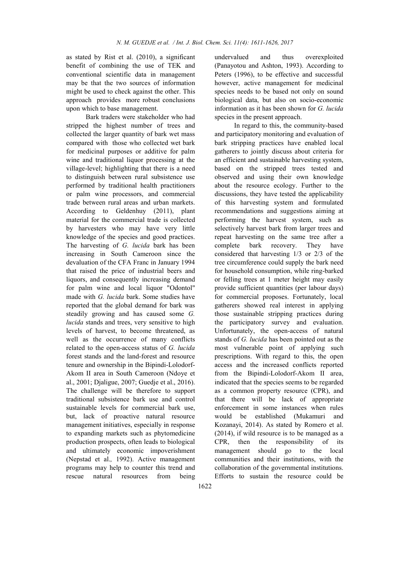as stated by Rist et al. (2010), a significant benefit of combining the use of TEK and conventional scientific data in management may be that the two sources of information might be used to check against the other. This approach provides more robust conclusions upon which to base management.

Bark traders were stakeholder who had stripped the highest number of trees and collected the larger quantity of bark wet mass compared with those who collected wet bark for medicinal purposes or additive for palm wine and traditional liquor processing at the village-level; highlighting that there is a need to distinguish between rural subsistence use performed by traditional health practitioners or palm wine processors, and commercial trade between rural areas and urban markets. According to Geldenhuy (2011), plant material for the commercial trade is collected by harvesters who may have very little knowledge of the species and good practices. The harvesting of *G. lucida* bark has been increasing in South Cameroon since the devaluation of the CFA Franc in January 1994 that raised the price of industrial beers and liquors, and consequently increasing demand for palm wine and local liquor "Odontol" made with *G. lucida* bark. Some studies have reported that the global demand for bark was steadily growing and has caused some *G. lucida* stands and trees, very sensitive to high levels of harvest, to become threatened, as well as the occurrence of many conflicts related to the open-access status of *G. lucida* forest stands and the land-forest and resource tenure and ownership in the Bipindi-Lolodorf-Akom II area in South Cameroon (Ndoye et al., 2001; Djaligue, 2007; Guedje et al., 2016). The challenge will be therefore to support traditional subsistence bark use and control sustainable levels for commercial bark use, but, lack of proactive natural resource management initiatives, especially in response to expanding markets such as phytomedicine production prospects, often leads to biological and ultimately economic impoverishment (Nepstad et al.*,* 1992). Active management programs may help to counter this trend and rescue natural resources from being undervalued and thus overexploited (Panayotou and Ashton, 1993). According to Peters (1996), to be effective and successful however, active management for medicinal species needs to be based not only on sound biological data, but also on socio-economic information as it has been shown for *G. lucida* species in the present approach.

In regard to this, the community-based and participatory monitoring and evaluation of bark stripping practices have enabled local gatherers to jointly discuss about criteria for an efficient and sustainable harvesting system, based on the stripped trees tested and observed and using their own knowledge about the resource ecology. Further to the discussions, they have tested the applicability of this harvesting system and formulated recommendations and suggestions aiming at performing the harvest system, such as selectively harvest bark from larger trees and repeat harvesting on the same tree after a complete bark recovery. They have considered that harvesting 1/3 or 2/3 of the tree circumference could supply the bark need for household consumption, while ring-barked or felling trees at 1 meter height may easily provide sufficient quantities (per labour days) for commercial proposes. Fortunately, local gatherers showed real interest in applying those sustainable stripping practices during the participatory survey and evaluation. Unfortunately, the open-access of natural stands of *G. lucida* has been pointed out as the most vulnerable point of applying such prescriptions. With regard to this, the open access and the increased conflicts reported from the Bipindi-Lolodorf-Akom II area, indicated that the species seems to be regarded as a common property resource (CPR), and that there will be lack of appropriate enforcement in some instances when rules would be established (Mukamuri and Kozanayi, 2014). As stated by Romero et al. (2014), if wild resource is to be managed as a CPR, then the responsibility of its management should go to the local communities and their institutions, with the collaboration of the governmental institutions. Efforts to sustain the resource could be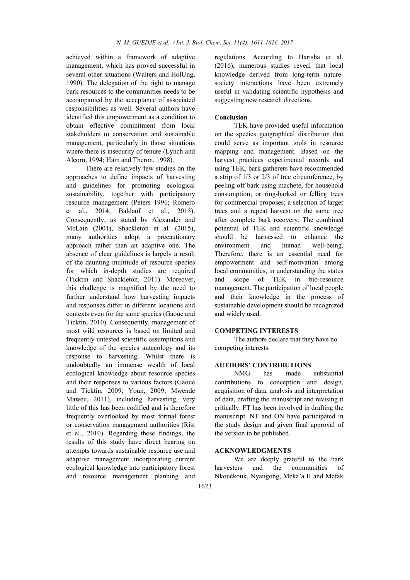achieved within a framework of adaptive management, which has proved successful in several other situations (Walters and HolUng, 1990). The delegation of the right to manage bark resources to the communities needs to be accompanied by the acceptance of associated responsibilities as well. Several authors have identified this empowerment as a condition to obtain effective commitment from local stakeholders to conservation and sustainable management, particularly in those situations where there is insecurity of tenure (Lynch and Alcorn, 1994; Ham and Theron, 1998).

There are relatively few studies on the approaches to define impacts of harvesting and guidelines for promoting ecological sustainability, together with participatory resource management (Peters 1996; Romero et al., 2014; Baldauf et al., 2015). Consequently, as stated by Alexander and McLain (2001), Shackleton et al. (2015), many authorities adopt a precautionary approach rather than an adaptive one. The absence of clear guidelines is largely a result of the daunting multitude of resource species for which in-depth studies are required (Ticktin and Shackleton, 2011). Moreover, this challenge is magnified by the need to further understand how harvesting impacts and responses differ in different locations and contexts even for the same species (Gaoue and Ticktin, 2010). Consequently, management of most wild resources is based on limited and frequently untested scientific assumptions and knowledge of the species autecology and its response to harvesting. Whilst there is undoubtedly an immense wealth of local ecological knowledge about resource species and their responses to various factors (Gaoue and Ticktin, 2009; Youn, 2009; Mwende Maweu, 2011), including harvesting, very little of this has been codified and is therefore frequently overlooked by most formal forest or conservation management authorities (Rist et al., 2010). Regarding these findings, the results of this study have direct bearing on attempts towards sustainable resource use and adaptive management incorporating current ecological knowledge into participatory forest and resource management planning and regulations. According to Harisha et al. (2016), numerous studies reveal that local knowledge derived from long-term naturesociety interactions have been extremely useful in validating scientific hypothesis and suggesting new research directions.

## Conclusion

TEK have provided useful information on the species geographical distribution that could serve as important tools in resource mapping and management. Based on the harvest practices experimental records and using TEK, bark gatherers have recommended a strip of 1/3 or 2/3 of tree circumference, by peeling off bark using machete, for household consumption; or ring-barked or felling trees for commercial proposes; a selection of larger trees and a repeat harvest on the same tree after complete bark recovery. The combined potential of TEK and scientific knowledge should be harnessed to enhance the environment and human well-being. Therefore, there is an essential need for empowerment and self-motivation among local communities, in understanding the status and scope of TEK in bio-resource management. The participation of local people and their knowledge in the process of sustainable development should be recognized and widely used.

#### COMPETING INTERESTS

The authors declare that they have no competing interests.

## AUTHORS' CONTRIBUTIONS

NMG has made substantial contributions to conception and design, acquisition of data, analysis and interpretation of data, drafting the manuscript and revising it critically. FT has been involved in drafting the manuscript. NT and ON have participated in the study design and given final approval of the version to be published.

#### ACKNOWLEDGMENTS

We are deeply grateful to the bark harvesters and the communities of Nkouékouk, Nyangong, Meka'a II and Mefak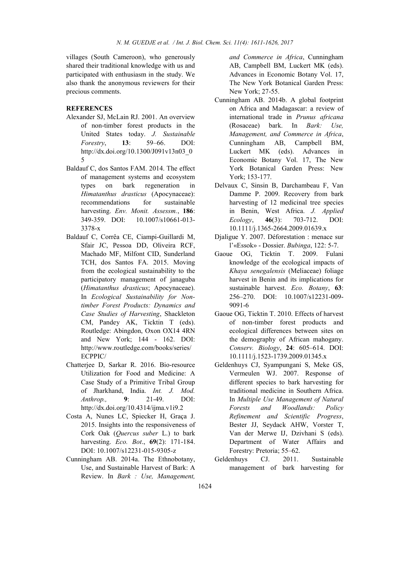villages (South Cameroon), who generously shared their traditional knowledge with us and participated with enthusiasm in the study. We also thank the anonymous reviewers for their precious comments.

## **REFERENCES**

- Alexander SJ, McLain RJ. 2001. An overview of non-timber forest products in the United States today. *J. Sustainable Forestry*, 13: 59–66. DOI: http://dx.doi.org/10.1300/J091v13n03\_0 5
- Baldauf C, dos Santos FAM. 2014. The effect of management systems and ecosystem types on bark regeneration in *Himatanthus drasticus* (Apocynaceae): recommendations for sustainable harvesting. *Env. Monit. Assessm.*, 186: 349-359. DOI: 10.1007/s10661-013- 3378-x
- Baldauf C, Corrêa CE, Ciampi-Guillardi M, Sfair JC, Pessoa DD, Oliveira RCF, Machado MF, Milfont CID, Sunderland TCH, dos Santos FA. 2015. Moving from the ecological sustainability to the participatory management of janaguba (*Himatanthus drasticus*; Apocynaceae). In *Ecological Sustainability for Nontimber Forest Products: Dynamics and Case Studies of Harvesting*, Shackleton CM, Pandey AK, Ticktin T (eds). Routledge: Abingdon, Oxon OX14 4RN and New York; 144 - 162. DOI: http://www.routledge.com/books/series/ ECPPIC/
- Chatterjee D, Sarkar R. 2016. Bio-resource Utilization for Food and Medicine: A Case Study of a Primitive Tribal Group of Jharkhand, India. *Int. J. Mod. Anthrop.,* 9: 21-49. DOI: http://dx.doi.org/10.4314/ijma.v1i9.2
- Costa A, Nunes LC, Spiecker H, Graça J. 2015. Insights into the responsiveness of Cork Oak (*Quercus suber* L.) to bark harvesting. *Eco. Bot*., 69(2): 171-184. DOI: 10.1007/s12231-015-9305-z
- Cunningham AB. 2014a. The Ethnobotany, Use, and Sustainable Harvest of Bark: A Review. In *Bark : Use, Management,*

*and Commerce in Africa*, Cunningham AB, Campbell BM, Luckert MK (eds). Advances in Economic Botany Vol. 17, The New York Botanical Garden Press: New York; 27-55.

- Cunningham AB. 2014b. A global footprint on Africa and Madagascar: a review of international trade in *Prunus africana* (Rosaceae) bark. In *Bark: Use, Management, and Commerce in Africa*, Cunningham AB, Campbell BM, Luckert MK (eds). Advances in Economic Botany Vol. 17, The New York Botanical Garden Press: New York; 153-177.
- Delvaux C, Sinsin B, Darchambeau F, Van Damme P. 2009. Recovery from bark harvesting of 12 medicinal tree species in Benin, West Africa. *J. Applied Ecology*, 46(3): 703-712. DOI: 10.1111/j.1365-2664.2009.01639.x
- Djaligue Y. 2007. Déforestation : menace sur l'«Essok» - Dossier. *Bubinga*, 122: 5-7.
- Gaoue OG, Ticktin T. 2009. Fulani knowledge of the ecological impacts of *Khaya senegalensis* (Meliaceae) foliage harvest in Benin and its implications for sustainable harvest. *Eco. Botany*, 63: 256–270. DOI: 10.1007/s12231-009- 9091-6
- Gaoue OG, Ticktin T. 2010. Effects of harvest of non-timber forest products and ecological differences between sites on the demography of African mahogany. *Conserv. Biology*, 24: 605–614. DOI: 10.1111/j.1523-1739.2009.01345.x
- Geldenhuys CJ, Syampungani S, Meke GS, Vermeulen WJ. 2007. Response of different species to bark harvesting for traditional medicine in Southern Africa. In *Multiple Use Management of Natural Forests and Woodlands: Policy Refinement and Scientific Progress*, Bester JJ, Seydack AHW, Vorster T, Van der Merwe IJ, Dzivhani S (eds). Department of Water Affairs and Forestry: Pretoria; 55–62.
- Geldenhuys CJ. 2011. Sustainable management of bark harvesting for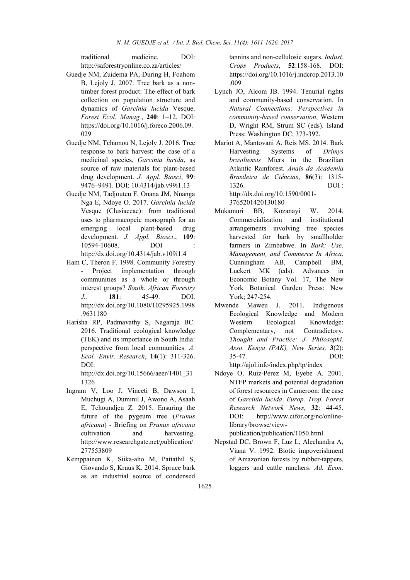traditional medicine. DOI: http://saforestryonline.co.za/articles/

- Guedje NM, Zuidema PA, During H, Foahom B, Lejoly J. 2007. Tree bark as a nontimber forest product: The effect of bark collection on population structure and dynamics of *Garcinia lucida* Vesque. *Forest Ecol. Manag.*, 240: 1–12. DOI: https://doi.org/10.1016/j.foreco.2006.09. 029
- Guedje NM, Tchamou N, Lejoly J. 2016. Tree response to bark harvest: the case of a medicinal species, *Garcinia lucida*, as source of raw materials for plant-based drug development. *J. Appl. Biosci*, 99: 9476–9491. DOI: 10.4314/jab.v99i1.13
- Guedje NM, Tadjouteu F, Onana JM, Nnanga Nga E, Ndoye O. 2017. *Garcinia lucida* Vesque (Clusiaceae): from traditional uses to pharmacopeic monograph for an emerging local plant-based drug development. *J. Appl. Biosci*., 109: 10594-10608. DOI http://dx.doi.org/10.4314/jab.v109i1.4
- Ham C, Theron F. 1998. Community Forestry Project implementation through communities as a whole or through interest groups? *South. African Forestry J.,* 181: 45-49. DOI. http://dx.doi.org/10.1080/10295925.1998 .9631180
- Harisha RP, Padmavathy S, Nagaraja BC. 2016. Traditional ecological knowledge (TEK) and its importance in South India: perspective from local communities. *A. Ecol. Envir. Research*, 14(1): 311-326. DOI:

http://dx.doi.org/10.15666/aeer/1401\_31 1326

- Ingram V, Loo J, Vinceti B, Dawson I, Muchugi A, Duminil J, Awono A, Asaah E, Tchoundjeu Z. 2015. Ensuring the future of the pygeum tree (*Prunus africana*) - Briefing on *Prunus africana* cultivation and harvesting. http://www.researchgate.net/*p*ublication/ 277553809
- Kemppainen K, Siika-aho M, Pattathil S, Giovando S, Kruus K. 2014. Spruce bark as an industrial source of condensed

tannins and non-cellulosic sugars. *Indust. Crops Products*, 52:158-168. DOI: https://doi.org/10.1016/j.indcrop.2013.10 .009

- Lynch JO, Alcom JB. 1994. Tenurial rights and community-based conservation. In *Natural Connections: Perspectives in community-based conservation*, Western D, Wright RM, Strum SC (eds). Island Press: Washington DC; 373-392.
- Mariot A, Mantovani A, Reis MS. 2014. Bark Harvesting Systems of *Drimys brasiliensis* Miers in the Brazilian Atlantic Rainforest. *Anais da Academia Brasileira de Ciências*, 86(3): 1315- 1326. DOI : http://dx.doi.org/10.1590/0001- 3765201420130180
- Mukamuri BB, Kozanayi W. 2014. Commercialization and institutional arrangements involving tree species harvested for bark by smallholder farmers in Zimbabwe. In *Bark: Use, Management, and Commerce In Africa*, Cunningham AB, Campbell BM, Luckert MK (eds). Advances in Economic Botany Vol. 17, The New York Botanical Garden Press: New York; 247-254.
- Mwende Maweu J. 2011. Indigenous Ecological Knowledge and Modern Western Ecological Knowledge: Complementary, not Contradictory. *Thought and Practice: J. Philosophi. Asso. Kenya (PAK), New Series,* 3(2): 35-47. DOI: http://ajol.info/index.php/tp/index
- Ndoye O, Ruiz-Perez M, Eyebe A. 2001. NTFP markets and potential degradation of forest resources in Cameroon: the case of *Garcinia lucida*. *Europ. Trop. Forest Research Network News,* 32: 44-45. DOI: http://www.cifor.org/nc/onlinelibrary/browse/view-

publication/publication/1050.html

Nepstad DC, Brown F, Luz L, Alechandra A, Viana V. 1992. Biotic impoverishment of Amazonian forests by rubber-tappers, loggers and cattle ranchers. *Ad. Econ.*